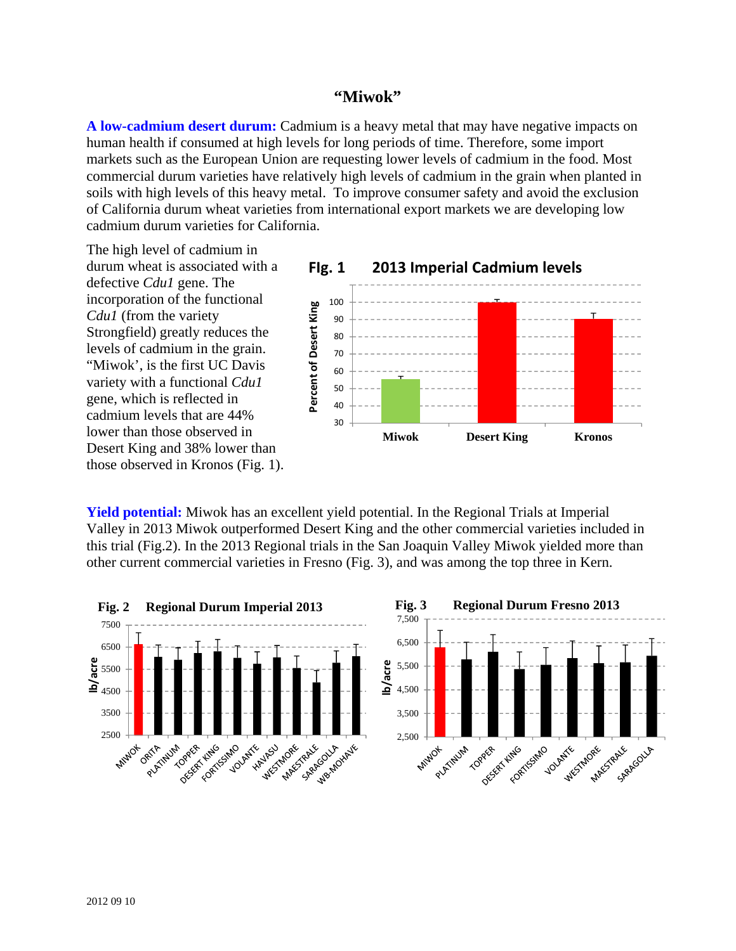## **"Miwok"**

**A low-cadmium desert durum:** Cadmium is a heavy metal that may have negative impacts on human health if consumed at high levels for long periods of time. Therefore, some import markets such as the European Union are requesting lower levels of cadmium in the food. Most commercial durum varieties have relatively high levels of cadmium in the grain when planted in soils with high levels of this heavy metal. To improve consumer safety and avoid the exclusion of California durum wheat varieties from international export markets we are developing low cadmium durum varieties for California.

The high level of cadmium in durum wheat is associated with a defective *Cdu1* gene. The incorporation of the functional *Cdu1* (from the variety Strongfield) greatly reduces the levels of cadmium in the grain. "Miwok', is the first UC Davis variety with a functional *Cdu1*  gene, which is reflected in cadmium levels that are 44% lower than those observed in Desert King and 38% lower than those observed in Kronos (Fig. 1).



**Yield potential:** Miwok has an excellent yield potential. In the Regional Trials at Imperial Valley in 2013 Miwok outperformed Desert King and the other commercial varieties included in this trial (Fig.2). In the 2013 Regional trials in the San Joaquin Valley Miwok yielded more than other current commercial varieties in Fresno (Fig. 3), and was among the top three in Kern.